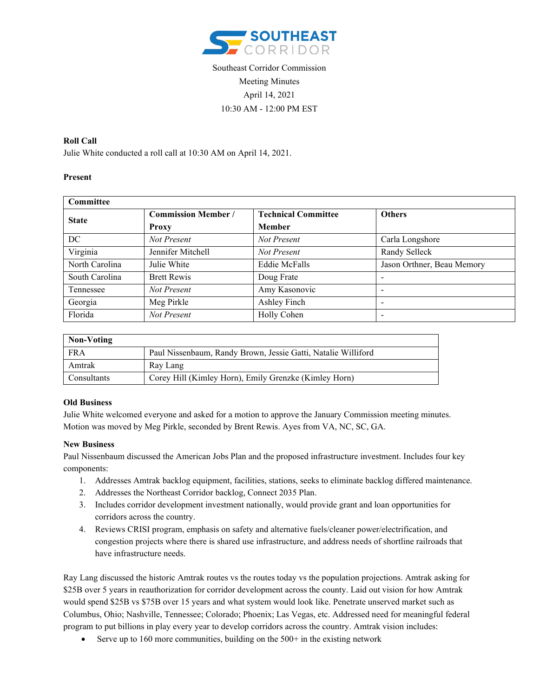

# Southeast Corridor Commission Meeting Minutes April 14, 2021 10:30 AM - 12:00 PM EST

## **Roll Call**

Julie White conducted a roll call at 10:30 AM on April 14, 2021.

### **Present**

| Committee      |                            |                            |                            |
|----------------|----------------------------|----------------------------|----------------------------|
| <b>State</b>   | <b>Commission Member /</b> | <b>Technical Committee</b> | <b>Others</b>              |
|                | Proxy                      | <b>Member</b>              |                            |
| DC             | Not Present                | Not Present                | Carla Longshore            |
| Virginia       | Jennifer Mitchell          | Not Present                | Randy Selleck              |
| North Carolina | Julie White                | <b>Eddie McFalls</b>       | Jason Orthner, Beau Memory |
| South Carolina | <b>Brett Rewis</b>         | Doug Frate                 |                            |
| Tennessee      | Not Present                | Amy Kasonovic              |                            |
| Georgia        | Meg Pirkle                 | Ashley Finch               | $\overline{\phantom{0}}$   |
| Florida        | Not Present                | Holly Cohen                |                            |

| Non-Voting  |                                                               |
|-------------|---------------------------------------------------------------|
| FRA         | Paul Nissenbaum, Randy Brown, Jessie Gatti, Natalie Williford |
| Amtrak      | Ray Lang                                                      |
| Consultants | Corey Hill (Kimley Horn), Emily Grenzke (Kimley Horn)         |

#### **Old Business**

Julie White welcomed everyone and asked for a motion to approve the January Commission meeting minutes. Motion was moved by Meg Pirkle, seconded by Brent Rewis. Ayes from VA, NC, SC, GA.

#### **New Business**

Paul Nissenbaum discussed the American Jobs Plan and the proposed infrastructure investment. Includes four key components:

- 1. Addresses Amtrak backlog equipment, facilities, stations, seeks to eliminate backlog differed maintenance.
- 2. Addresses the Northeast Corridor backlog, Connect 2035 Plan.
- 3. Includes corridor development investment nationally, would provide grant and loan opportunities for corridors across the country.
- 4. Reviews CRISI program, emphasis on safety and alternative fuels/cleaner power/electrification, and congestion projects where there is shared use infrastructure, and address needs of shortline railroads that have infrastructure needs.

Ray Lang discussed the historic Amtrak routes vs the routes today vs the population projections. Amtrak asking for \$25B over 5 years in reauthorization for corridor development across the county. Laid out vision for how Amtrak would spend \$25B vs \$75B over 15 years and what system would look like. Penetrate unserved market such as Columbus, Ohio; Nashville, Tennessee; Colorado; Phoenix; Las Vegas, etc. Addressed need for meaningful federal program to put billions in play every year to develop corridors across the country. Amtrak vision includes:

• Serve up to 160 more communities, building on the 500+ in the existing network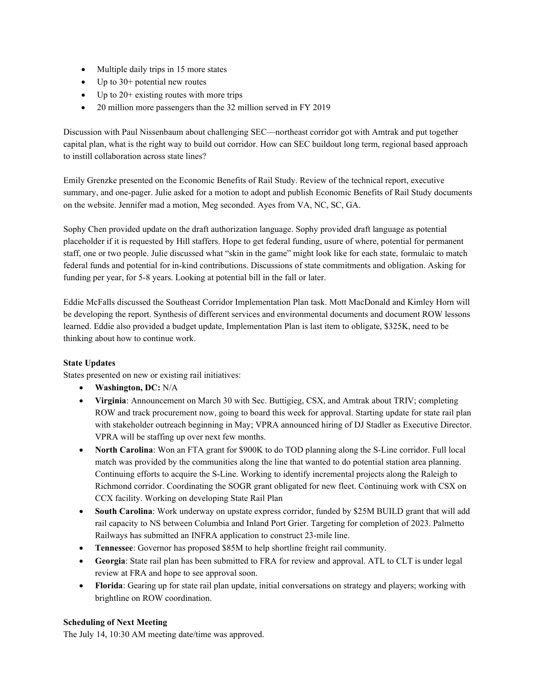- Multiple daily trips in 15 more states
- Up to 30+ potential new routes
- Up to  $20+$  existing routes with more trips
- 20 million more passengers than the 32 million served in FY 2019

Discussion with Paul Nissenbaum about challenging SEC—northeast corridor got with Amtrak and put together capital plan, what is the right way to build out corridor. How can SEC buildout long term, regional based approach to instill collaboration across state lines?

Emily Grenzke presented on the Economic Benefits of Rail Study. Review of the technical report, executive summary, and one-pager. Julie asked for a motion to adopt and publish Economic Benefits of Rail Study documents on the website. Jennifer mad a motion, Meg seconded. Ayes from VA, NC, SC, GA.

Sophy Chen provided update on the draft authorization language. Sophy provided draft language as potential placeholder if it is requested by Hill staffers. Hope to get federal funding, usure of where, potential for permanent staff, one or two people. Julie discussed what "skin in the game" might look like for each state, formulaic to match federal funds and potential for in-kind contributions. Discussions of state commitments and obligation. Asking for funding per year, for 5-8 years. Looking at potential bill in the fall or later.

Eddie McFalls discussed the Southeast Corridor Implementation Plan task. Mott MacDonald and Kimley Horn will be developing the report. Synthesis of different services and environmental documents and document ROW lessons learned. Eddie also provided a budget update, Implementation Plan is last item to obligate, \$325K, need to be thinking about how to continue work.

## **State Updates**

States presented on new or existing rail initiatives:

- **Washington, DC:** N/A
- **Virginia**: Announcement on March 30 with Sec. Buttigieg, CSX, and Amtrak about TRIV; completing ROW and track procurement now, going to board this week for approval. Starting update for state rail plan with stakeholder outreach beginning in May; VPRA announced hiring of DJ Stadler as Executive Director. VPRA will be staffing up over next few months.
- **North Carolina**: Won an FTA grant for \$900K to do TOD planning along the S-Line corridor. Full local match was provided by the communities along the line that wanted to do potential station area planning. Continuing efforts to acquire the S-Line. Working to identify incremental projects along the Raleigh to Richmond corridor. Coordinating the SOGR grant obligated for new fleet. Continuing work with CSX on CCX facility. Working on developing State Rail Plan
- **South Carolina**: Work underway on upstate express corridor, funded by \$25M BUILD grant that will add rail capacity to NS between Columbia and Inland Port Grier. Targeting for completion of 2023. Palmetto Railways has submitted an INFRA application to construct 23-mile line.
- **Tennessee**: Governor has proposed \$85M to help shortline freight rail community.
- **Georgia**: State rail plan has been submitted to FRA for review and approval. ATL to CLT is under legal review at FRA and hope to see approval soon.
- **Florida**: Gearing up for state rail plan update, initial conversations on strategy and players; working with brightline on ROW coordination.

## **Scheduling of Next Meeting**

The July 14, 10:30 AM meeting date/time was approved.